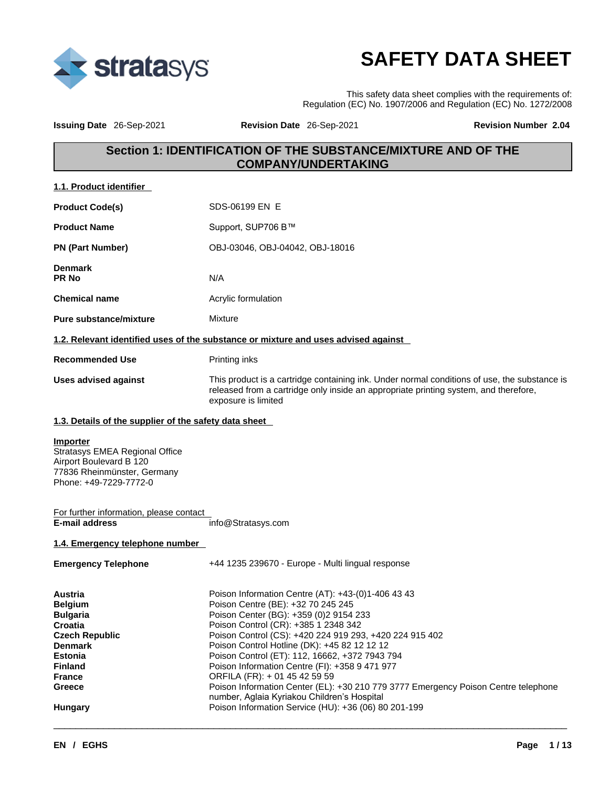

# **SAFETY DATA SHEET**

This safety data sheet complies with the requirements of: Regulation (EC) No. 1907/2006 and Regulation (EC) No. 1272/2008

**Issuing Date** 26-Sep-2021 **Revision Date** 26-Sep-2021 **Revision Number 2.04** 

## **Section 1: IDENTIFICATION OF THE SUBSTANCE/MIXTURE AND OF THE COMPANY/UNDERTAKING**

| 1.1. Product identifier |
|-------------------------|
|-------------------------|

| <b>Product Code(s)</b>         | SDS-06199 EN E                                                                                                                                                                                              |
|--------------------------------|-------------------------------------------------------------------------------------------------------------------------------------------------------------------------------------------------------------|
| <b>Product Name</b>            | Support, SUP706 B™                                                                                                                                                                                          |
| <b>PN (Part Number)</b>        | OBJ-03046, OBJ-04042, OBJ-18016                                                                                                                                                                             |
| <b>Denmark</b><br><b>PR No</b> | N/A                                                                                                                                                                                                         |
| <b>Chemical name</b>           | Acrylic formulation                                                                                                                                                                                         |
| <b>Pure substance/mixture</b>  | Mixture                                                                                                                                                                                                     |
|                                | 1.2. Relevant identified uses of the substance or mixture and uses advised against                                                                                                                          |
| <b>Recommended Use</b>         | Printing inks                                                                                                                                                                                               |
| <b>Uses advised against</b>    | This product is a cartridge containing ink. Under normal conditions of use, the substance is<br>released from a cartridge only inside an appropriate printing system, and therefore,<br>exposure is limited |

#### **1.3. Details of the supplier of the safety data sheet**

## **Importer**

Stratasys EMEA Regional Office Airport Boulevard B 120 77836 Rheinmünster, Germany Phone: +49-7229-7772-0

#### For further information, please contact<br>E-mail address **E-mail address** info@Stratasys.com

#### **1.4. Emergency telephone number**

| <b>Emergency Telephone</b> | +44 1235 239670 - Europe - Multi lingual response                                                                                 |
|----------------------------|-----------------------------------------------------------------------------------------------------------------------------------|
| Austria                    | Poison Information Centre (AT): +43-(0)1-406 43 43                                                                                |
| <b>Belgium</b>             | Poison Centre (BE): +32 70 245 245                                                                                                |
| <b>Bulgaria</b>            | Poison Center (BG): +359 (0) 2 9154 233                                                                                           |
| Croatia                    | Poison Control (CR): +385 1 2348 342                                                                                              |
| <b>Czech Republic</b>      | Poison Control (CS): +420 224 919 293, +420 224 915 402                                                                           |
| <b>Denmark</b>             | Poison Control Hotline (DK): +45 82 12 12 12                                                                                      |
| <b>Estonia</b>             | Poison Control (ET): 112, 16662, +372 7943 794                                                                                    |
| <b>Finland</b>             | Poison Information Centre (FI): +358 9 471 977                                                                                    |
| <b>France</b>              | ORFILA (FR): + 01 45 42 59 59                                                                                                     |
| Greece                     | Poison Information Center (EL): +30 210 779 3777 Emergency Poison Centre telephone<br>number, Aglaia Kyriakou Children's Hospital |
| Hungary                    | Poison Information Service (HU): +36 (06) 80 201-199                                                                              |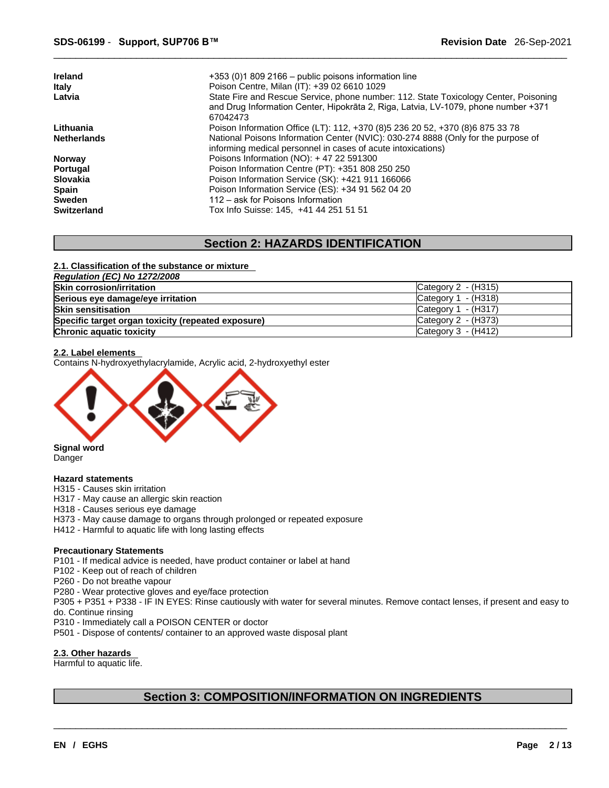| <b>Ireland</b>     | $+353$ (0)1 809 2166 – public poisons information line                               |
|--------------------|--------------------------------------------------------------------------------------|
| Italy              | Poison Centre, Milan (IT): +39 02 6610 1029                                          |
| Latvia             | State Fire and Rescue Service, phone number: 112. State Toxicology Center, Poisoning |
|                    | and Drug Information Center, Hipokrāta 2, Riga, Latvia, LV-1079, phone number +371   |
|                    | 67042473                                                                             |
| Lithuania          | Poison Information Office (LT): 112, +370 (8) 5 236 20 52, +370 (8) 6 875 33 78      |
| <b>Netherlands</b> | National Poisons Information Center (NVIC): 030-274 8888 (Only for the purpose of    |
|                    | informing medical personnel in cases of acute intoxications)                         |
| <b>Norway</b>      | Poisons Information (NO): $+4722591300$                                              |
| Portugal           | Poison Information Centre (PT): +351 808 250 250                                     |
| <b>Slovakia</b>    | Poison Information Service (SK): +421 911 166066                                     |
| <b>Spain</b>       | Poison Information Service (ES): +34 91 562 04 20                                    |
| <b>Sweden</b>      | 112 – ask for Poisons Information                                                    |
| <b>Switzerland</b> | Tox Info Suisse: 145, +41 44 251 51 51                                               |

## **Section 2: HAZARDS IDENTIFICATION**

#### **2.1. Classification of the substance or mixture**

| Regulation (EC) No 1272/2008                       |                                 |
|----------------------------------------------------|---------------------------------|
| <b>Skin corrosion/irritation</b>                   | $\textsf{C}$ ategory 2 - (H315) |
| Serious eye damage/eye irritation                  | Category $1 - (H318)$           |
| <b>Skin sensitisation</b>                          | Category $1 - (H317)$           |
| Specific target organ toxicity (repeated exposure) | Category 2 - (H373)             |
| Chronic aquatic toxicity                           | Category $3 - (H412)$           |

#### **2.2. Label elements**

Contains N-hydroxyethylacrylamide, Acrylic acid, 2-hydroxyethyl ester



Danger

#### **Hazard statements**

H315 - Causes skin irritation

- H317 May cause an allergic skin reaction
- H318 Causes serious eye damage
- H373 May cause damage to organs through prolonged or repeated exposure
- H412 Harmful to aquatic life with long lasting effects

#### **Precautionary Statements**

- P101 If medical advice is needed, have product container or label at hand
- P102 Keep out of reach of children
- P260 Do not breathe vapour
- P280 Wear protective gloves and eye/face protection
- P305 + P351 + P338 IF IN EYES: Rinse cautiously with water forseveral minutes. Remove contact lenses, if present and easy to do. Continue rinsing
- P310 Immediately call a POISON CENTER or doctor
- P501 Dispose of contents/ container to an approved waste disposal plant

#### **2.3. Other hazards**

Harmful to aquatic life.

## **Section 3: COMPOSITION/INFORMATION ON INGREDIENTS**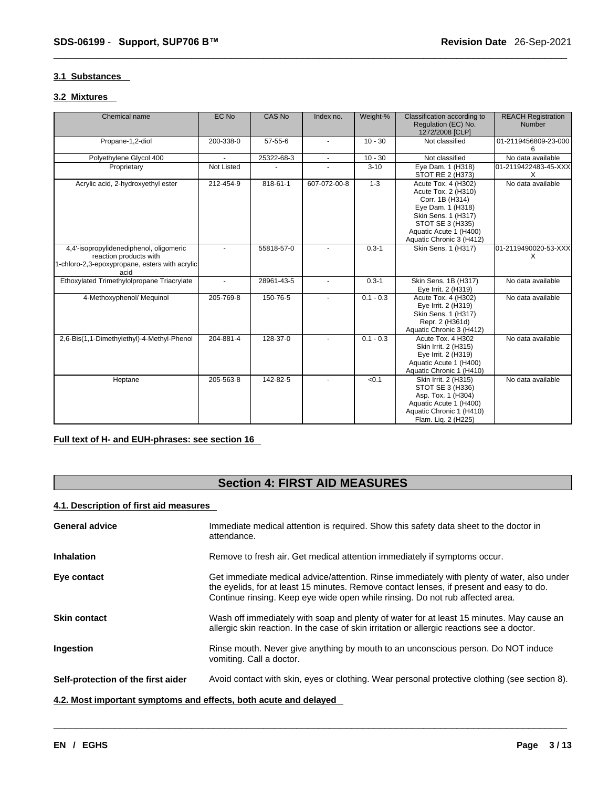#### **3.1 Substances**

#### **3.2 Mixtures**

| Chemical name                                                                                                               | EC No      | CAS No     | Index no.      | Weight-%    | Classification according to<br>Regulation (EC) No.<br>1272/2008 [CLP]                                                                                                               | <b>REACH Registration</b><br><b>Number</b> |
|-----------------------------------------------------------------------------------------------------------------------------|------------|------------|----------------|-------------|-------------------------------------------------------------------------------------------------------------------------------------------------------------------------------------|--------------------------------------------|
| Propane-1,2-diol                                                                                                            | 200-338-0  | 57-55-6    | ٠              | $10 - 30$   | Not classified                                                                                                                                                                      | 01-2119456809-23-000<br>6                  |
| Polyethylene Glycol 400                                                                                                     |            | 25322-68-3 | $\blacksquare$ | $10 - 30$   | Not classified                                                                                                                                                                      | No data available                          |
| Proprietary                                                                                                                 | Not Listed |            |                | $3 - 10$    | Eye Dam. 1 (H318)<br>STOT RE 2 (H373)                                                                                                                                               | 01-2119422483-45-XXX<br>X                  |
| Acrylic acid, 2-hydroxyethyl ester                                                                                          | 212-454-9  | 818-61-1   | 607-072-00-8   | $1 - 3$     | Acute Tox. 4 (H302)<br>Acute Tox. 2 (H310)<br>Corr. 1B (H314)<br>Eye Dam. 1 (H318)<br>Skin Sens. 1 (H317)<br>STOT SE 3 (H335)<br>Aquatic Acute 1 (H400)<br>Aquatic Chronic 3 (H412) | No data available                          |
| 4,4'-isopropylidenediphenol, oligomeric<br>reaction products with<br>1-chloro-2,3-epoxypropane, esters with acrylic<br>acid |            | 55818-57-0 |                | $0.3 - 1$   | Skin Sens. 1 (H317)                                                                                                                                                                 | 01-2119490020-53-XXX<br>X                  |
| Ethoxylated Trimethylolpropane Triacrylate                                                                                  |            | 28961-43-5 |                | $0.3 - 1$   | Skin Sens. 1B (H317)<br>Eye Irrit. 2 (H319)                                                                                                                                         | No data available                          |
| 4-Methoxyphenol/ Mequinol                                                                                                   | 205-769-8  | 150-76-5   |                | $0.1 - 0.3$ | Acute Tox. 4 (H302)<br>Eye Irrit. 2 (H319)<br>Skin Sens. 1 (H317)<br>Repr. 2 (H361d)<br>Aquatic Chronic 3 (H412)                                                                    | No data available                          |
| 2,6-Bis(1,1-Dimethylethyl)-4-Methyl-Phenol                                                                                  | 204-881-4  | 128-37-0   |                | $0.1 - 0.3$ | Acute Tox. 4 H302<br>Skin Irrit. 2 (H315)<br>Eye Irrit. 2 (H319)<br>Aquatic Acute 1 (H400)<br>Aquatic Chronic 1 (H410)                                                              | No data available                          |
| Heptane                                                                                                                     | 205-563-8  | 142-82-5   |                | < 0.1       | Skin Irrit. 2 (H315)<br>STOT SE 3 (H336)<br>Asp. Tox. 1 (H304)<br>Aquatic Acute 1 (H400)<br>Aquatic Chronic 1 (H410)<br>Flam. Lig. 2 (H225)                                         | No data available                          |

### **Full text of H- and EUH-phrases: see section 16**

## **Section 4: FIRST AID MEASURES**

### **4.1. Description of first aid measures**

| <b>General advice</b>                                            | Immediate medical attention is required. Show this safety data sheet to the doctor in<br>attendance.                                                                                                                                                                   |
|------------------------------------------------------------------|------------------------------------------------------------------------------------------------------------------------------------------------------------------------------------------------------------------------------------------------------------------------|
| <b>Inhalation</b>                                                | Remove to fresh air. Get medical attention immediately if symptoms occur.                                                                                                                                                                                              |
| Eye contact                                                      | Get immediate medical advice/attention. Rinse immediately with plenty of water, also under<br>the eyelids, for at least 15 minutes. Remove contact lenses, if present and easy to do.<br>Continue rinsing. Keep eye wide open while rinsing. Do not rub affected area. |
| <b>Skin contact</b>                                              | Wash off immediately with soap and plenty of water for at least 15 minutes. May cause an<br>allergic skin reaction. In the case of skin irritation or allergic reactions see a doctor.                                                                                 |
| Ingestion                                                        | Rinse mouth. Never give anything by mouth to an unconscious person. Do NOT induce<br>vomiting. Call a doctor.                                                                                                                                                          |
| Self-protection of the first aider                               | Avoid contact with skin, eyes or clothing. Wear personal protective clothing (see section 8).                                                                                                                                                                          |
| 4.2. Most important symptoms and effects, both acute and delayed |                                                                                                                                                                                                                                                                        |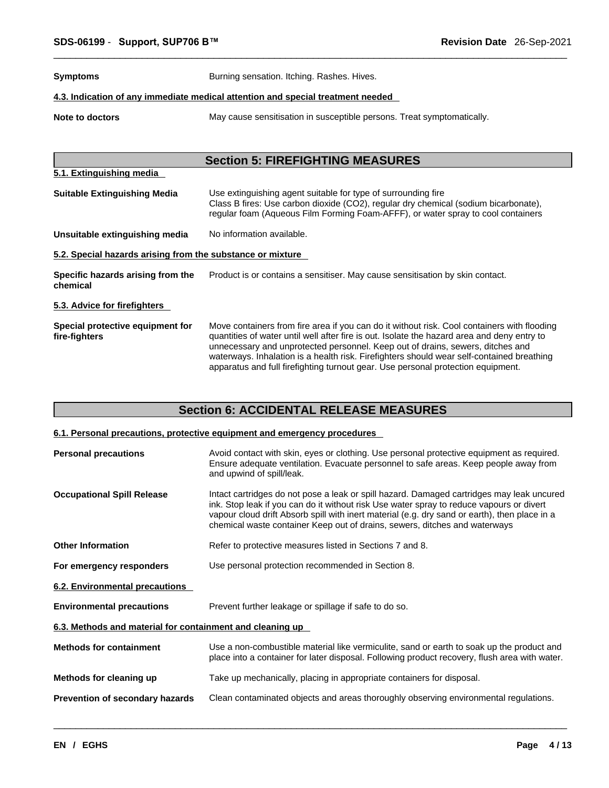**Symptoms** Burning sensation. Itching. Rashes. Hives.

#### **4.3. Indication of any immediate medical attention and special treatment needed**

**Note to doctors** May cause sensitisation in susceptible persons. Treat symptomatically.

## **Section 5: FIREFIGHTING MEASURES 5.1. Extinguishing media Suitable Extinguishing Media** Use extinguishing agent suitable for type of surrounding fire Class B fires: Use carbon dioxide (CO2), regular dry chemical (sodium bicarbonate), regular foam (Aqueous Film Forming Foam-AFFF), or water spray to cool containers **Unsuitable extinguishing media** No information available. **5.2. Special hazards arising from the substance or mixture Specific hazards arising from the chemical** Product is or contains a sensitiser. May cause sensitisation by skin contact. **5.3. Advice for firefighters Special protective equipment for fire-fighters** Move containers from fire area if you can do it without risk. Cool containers with flooding quantities of water untilwell after fire is out. Isolate the hazard area and deny entry to unnecessary and unprotected personnel. Keep out of drains, sewers, ditches and waterways. Inhalation is a health risk. Firefighters should wear self-contained breathing apparatus and full firefighting turnout gear. Use personal protection equipment.

## **Section 6: ACCIDENTAL RELEASE MEASURES**

#### **6.1. Personal precautions, protective equipment and emergency procedures**

| <b>Personal precautions</b>                               | Avoid contact with skin, eyes or clothing. Use personal protective equipment as required.<br>Ensure adequate ventilation. Evacuate personnel to safe areas. Keep people away from<br>and upwind of spill/leak.                                                                                                                                                       |
|-----------------------------------------------------------|----------------------------------------------------------------------------------------------------------------------------------------------------------------------------------------------------------------------------------------------------------------------------------------------------------------------------------------------------------------------|
| <b>Occupational Spill Release</b>                         | Intact cartridges do not pose a leak or spill hazard. Damaged cartridges may leak uncured<br>ink. Stop leak if you can do it without risk Use water spray to reduce vapours or divert<br>vapour cloud drift Absorb spill with inert material (e.g. dry sand or earth), then place in a<br>chemical waste container Keep out of drains, sewers, ditches and waterways |
| <b>Other Information</b>                                  | Refer to protective measures listed in Sections 7 and 8.                                                                                                                                                                                                                                                                                                             |
| For emergency responders                                  | Use personal protection recommended in Section 8.                                                                                                                                                                                                                                                                                                                    |
| <b>6.2. Environmental precautions</b>                     |                                                                                                                                                                                                                                                                                                                                                                      |
| <b>Environmental precautions</b>                          | Prevent further leakage or spillage if safe to do so.                                                                                                                                                                                                                                                                                                                |
| 6.3. Methods and material for containment and cleaning up |                                                                                                                                                                                                                                                                                                                                                                      |
| <b>Methods for containment</b>                            | Use a non-combustible material like vermiculite, sand or earth to soak up the product and<br>place into a container for later disposal. Following product recovery, flush area with water.                                                                                                                                                                           |
| Methods for cleaning up                                   | Take up mechanically, placing in appropriate containers for disposal.                                                                                                                                                                                                                                                                                                |
| Prevention of secondary hazards                           | Clean contaminated objects and areas thoroughly observing environmental regulations.                                                                                                                                                                                                                                                                                 |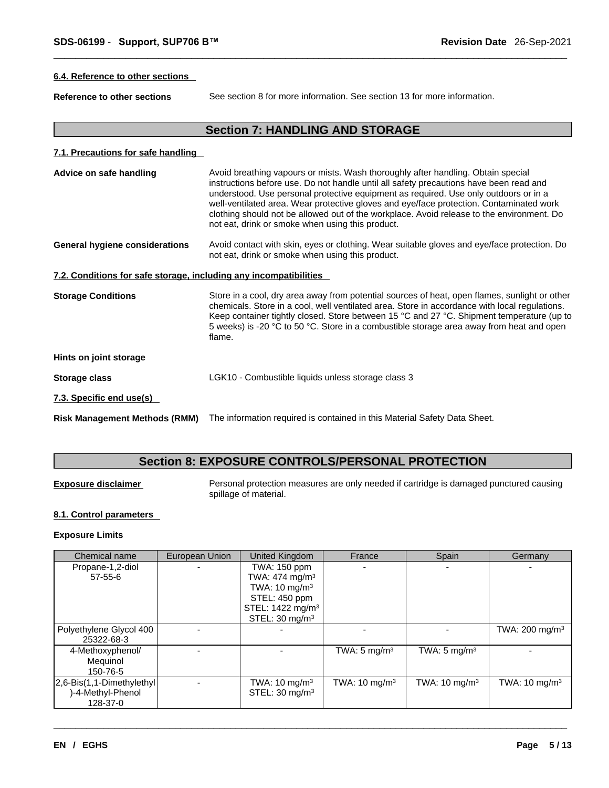#### **6.4. Reference to other sections**

**Reference to other sections** See section 8 for more information. See section 13 for more information.

## **Section 7: HANDLING AND STORAGE**

#### **7.1. Precautions for safe handling**

| Advice on safe handling                                           | Avoid breathing vapours or mists. Wash thoroughly after handling. Obtain special<br>instructions before use. Do not handle until all safety precautions have been read and<br>understood. Use personal protective equipment as required. Use only outdoors or in a<br>well-ventilated area. Wear protective gloves and eye/face protection. Contaminated work<br>clothing should not be allowed out of the workplace. Avoid release to the environment. Do<br>not eat, drink or smoke when using this product. |
|-------------------------------------------------------------------|----------------------------------------------------------------------------------------------------------------------------------------------------------------------------------------------------------------------------------------------------------------------------------------------------------------------------------------------------------------------------------------------------------------------------------------------------------------------------------------------------------------|
| <b>General hygiene considerations</b>                             | Avoid contact with skin, eyes or clothing. Wear suitable gloves and eye/face protection. Do<br>not eat, drink or smoke when using this product.                                                                                                                                                                                                                                                                                                                                                                |
| 7.2. Conditions for safe storage, including any incompatibilities |                                                                                                                                                                                                                                                                                                                                                                                                                                                                                                                |

**Storage Conditions** Store in a cool, dry area away from potential sources of heat, open flames, sunlight or other chemicals. Store in a cool, well ventilated area. Store in accordance with local regulations. Keep container tightly closed. Store between 15 °C and 27 °C. Shipment temperature (up to 5 weeks) is -20 °C to 50 °C. Store in a combustible storage area away from heat and open flame.

### **Hints on joint storage**

- **Storage class** LGK10 Combustible liquids unless storage class 3
- **7.3. Specific end use(s)**
- **Risk Management Methods (RMM)** The information required iscontained in this Material Safety Data Sheet.

## **Section 8: EXPOSURE CONTROLS/PERSONAL PROTECTION**

**Exposure disclaimer** Personal protection measures are only needed if cartridge is damaged punctured causing spillage of material.

#### **8.1. Control parameters**

#### **Exposure Limits**

| Chemical name                                                | European Union | United Kingdom                                                                                                                                        | France                  | Spain                    | Germany                    |
|--------------------------------------------------------------|----------------|-------------------------------------------------------------------------------------------------------------------------------------------------------|-------------------------|--------------------------|----------------------------|
| Propane-1,2-diol<br>57-55-6                                  |                | TWA: 150 ppm<br>TWA: 474 mg/m <sup>3</sup><br>TWA: $10 \text{ mg/m}^3$<br>STEL: 450 ppm<br>STEL: 1422 mg/m <sup>3</sup><br>STEL: 30 mg/m <sup>3</sup> |                         |                          |                            |
| Polyethylene Glycol 400<br>25322-68-3                        |                |                                                                                                                                                       |                         |                          | TWA: 200 mg/m <sup>3</sup> |
| 4-Methoxyphenol/<br>Mequinol<br>150-76-5                     |                |                                                                                                                                                       | TWA: $5 \text{ mg/m}^3$ | TWA: $5 \text{ mg/m}^3$  |                            |
| [2,6-Bis(1,1-Dimethylethyl]<br>)-4-Methyl-Phenol<br>128-37-0 |                | TWA: 10 mg/m $3$<br>STEL: $30 \text{ mg/m}^3$                                                                                                         | TWA: 10 mg/m $3$        | TWA: $10 \text{ mg/m}^3$ | TWA: $10 \text{ mg/m}^3$   |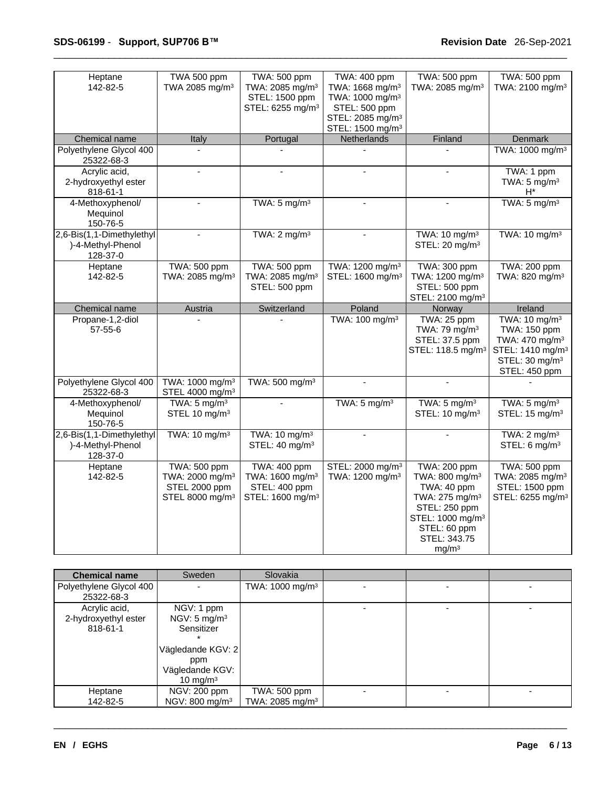| Heptane<br>142-82-5                                        | TWA 500 ppm<br>TWA 2085 mg/m <sup>3</sup>                                                          | TWA: 500 ppm<br>TWA: 2085 mg/m <sup>3</sup><br>STEL: 1500 ppm<br>STEL: 6255 mg/m <sup>3</sup>       | TWA: 400 ppm<br>TWA: 1668 mg/m <sup>3</sup><br>TWA: 1000 mg/m <sup>3</sup><br>STEL: 500 ppm<br>STEL: 2085 mg/m <sup>3</sup><br>STEL: 1500 mg/m <sup>3</sup> | TWA: 500 ppm<br>TWA: 2085 mg/m <sup>3</sup>                                                                                                                                                          | TWA: 500 ppm<br>TWA: 2100 mg/m <sup>3</sup>                                                                                                            |
|------------------------------------------------------------|----------------------------------------------------------------------------------------------------|-----------------------------------------------------------------------------------------------------|-------------------------------------------------------------------------------------------------------------------------------------------------------------|------------------------------------------------------------------------------------------------------------------------------------------------------------------------------------------------------|--------------------------------------------------------------------------------------------------------------------------------------------------------|
| Chemical name                                              | Italy                                                                                              | Portugal                                                                                            | Netherlands                                                                                                                                                 | Finland                                                                                                                                                                                              | Denmark                                                                                                                                                |
| Polyethylene Glycol 400<br>25322-68-3                      | $\Delta$                                                                                           |                                                                                                     |                                                                                                                                                             |                                                                                                                                                                                                      | TWA: 1000 mg/m <sup>3</sup>                                                                                                                            |
| Acrylic acid,<br>2-hydroxyethyl ester<br>818-61-1          | $\overline{a}$                                                                                     | $\overline{a}$                                                                                      |                                                                                                                                                             |                                                                                                                                                                                                      | TWA: 1 ppm<br>TWA: $5 \text{ mg/m}^3$<br>$H^*$                                                                                                         |
| 4-Methoxyphenol/<br>Mequinol<br>150-76-5                   | $\overline{a}$                                                                                     | TWA: $5 \text{ mg/m}^3$                                                                             | $\overline{a}$                                                                                                                                              | ÷.                                                                                                                                                                                                   | TWA: $5 \text{ mg/m}^3$                                                                                                                                |
| 2,6-Bis(1,1-Dimethylethyl<br>)-4-Methyl-Phenol<br>128-37-0 | $\omega$                                                                                           | TWA: $2 \text{ mg/m}^3$                                                                             | $\sim$                                                                                                                                                      | TWA: 10 mg/m <sup>3</sup><br>STEL: 20 mg/m <sup>3</sup>                                                                                                                                              | TWA: $10 \text{ mg/m}^3$                                                                                                                               |
| Heptane<br>142-82-5                                        | TWA: 500 ppm<br>TWA: 2085 mg/m <sup>3</sup>                                                        | TWA: 500 ppm<br>TWA: 2085 mg/m <sup>3</sup><br>STEL: 500 ppm                                        | TWA: 1200 mg/m <sup>3</sup><br>STEL: 1600 mg/m <sup>3</sup>                                                                                                 | TWA: 300 ppm<br>TWA: 1200 mg/m <sup>3</sup><br>STEL: 500 ppm<br>STEL: 2100 mg/m <sup>3</sup>                                                                                                         | TWA: 200 ppm<br>TWA: 820 mg/m <sup>3</sup>                                                                                                             |
| Chemical name                                              | Austria                                                                                            | Switzerland                                                                                         | Poland                                                                                                                                                      | Norway                                                                                                                                                                                               | Ireland                                                                                                                                                |
| Propane-1,2-diol<br>$57 - 55 - 6$                          |                                                                                                    |                                                                                                     | TWA: 100 mg/m <sup>3</sup>                                                                                                                                  | TWA: 25 ppm<br>TWA: 79 mg/m <sup>3</sup><br>STEL: 37.5 ppm<br>STEL: 118.5 mg/m <sup>3</sup>                                                                                                          | TWA: 10 mg/m <sup>3</sup><br>TWA: 150 ppm<br>TWA: 470 mg/m <sup>3</sup><br>STEL: 1410 mg/m <sup>3</sup><br>STEL: 30 mg/m <sup>3</sup><br>STEL: 450 ppm |
| Polyethylene Glycol 400<br>25322-68-3                      | TWA: 1000 mg/m <sup>3</sup><br>STEL 4000 mg/m <sup>3</sup>                                         | TWA: 500 mg/m <sup>3</sup>                                                                          | $\blacksquare$                                                                                                                                              |                                                                                                                                                                                                      |                                                                                                                                                        |
| 4-Methoxyphenol/<br>Mequinol<br>150-76-5                   | TWA: $5 \text{ mg/m}^3$<br>STEL 10 mg/m <sup>3</sup>                                               |                                                                                                     | TWA: $5 \text{ mg/m}^3$                                                                                                                                     | TWA: $5 \text{ mg/m}^3$<br>STEL: 10 mg/m <sup>3</sup>                                                                                                                                                | TWA: $5 \text{ mg/m}^3$<br>STEL: 15 mg/m <sup>3</sup>                                                                                                  |
| 2,6-Bis(1,1-Dimethylethyl<br>)-4-Methyl-Phenol<br>128-37-0 | TWA: 10 mg/m <sup>3</sup>                                                                          | TWA: 10 mg/m <sup>3</sup><br>STEL: 40 mg/m <sup>3</sup>                                             | $\mathbf{r}$                                                                                                                                                |                                                                                                                                                                                                      | TWA: $2 \text{ mg/m}^3$<br>STEL: 6 mg/m <sup>3</sup>                                                                                                   |
| Heptane<br>142-82-5                                        | <b>TWA: 500 ppm</b><br>TWA: 2000 mg/m <sup>3</sup><br>STEL 2000 ppm<br>STEL 8000 mg/m <sup>3</sup> | <b>TWA: 400 ppm</b><br>TWA: 1600 mg/m <sup>3</sup><br>STEL: 400 ppm<br>STEL: 1600 mg/m <sup>3</sup> | STEL: 2000 mg/m <sup>3</sup><br>TWA: 1200 mg/m <sup>3</sup>                                                                                                 | <b>TWA: 200 ppm</b><br>TWA: 800 mg/m <sup>3</sup><br>TWA: 40 ppm<br>TWA: 275 mg/m <sup>3</sup><br>STEL: 250 ppm<br>STEL: 1000 mg/m <sup>3</sup><br>STEL: 60 ppm<br>STEL: 343.75<br>mg/m <sup>3</sup> | <b>TWA: 500 ppm</b><br>TWA: 2085 mg/m <sup>3</sup><br>STEL: 1500 ppm<br>STEL: 6255 mg/m <sup>3</sup>                                                   |

| <b>Chemical name</b>    | Sweden                     | Slovakia                    |  |  |
|-------------------------|----------------------------|-----------------------------|--|--|
| Polyethylene Glycol 400 |                            | TWA: 1000 mg/m <sup>3</sup> |  |  |
| 25322-68-3              |                            |                             |  |  |
| Acrylic acid,           | NGV: 1 ppm                 |                             |  |  |
| 2-hydroxyethyl ester    | NGV: $5 \text{ mg/m}^3$    |                             |  |  |
| 818-61-1                | Sensitizer                 |                             |  |  |
|                         |                            |                             |  |  |
|                         | Vägledande KGV: 2          |                             |  |  |
|                         | ppm                        |                             |  |  |
|                         | Vägledande KGV:            |                             |  |  |
|                         | 10 mg/m $3$                |                             |  |  |
| Heptane                 | NGV: 200 ppm               | TWA: 500 ppm                |  |  |
| 142-82-5                | NGV: 800 mg/m <sup>3</sup> | TWA: 2085 mg/m <sup>3</sup> |  |  |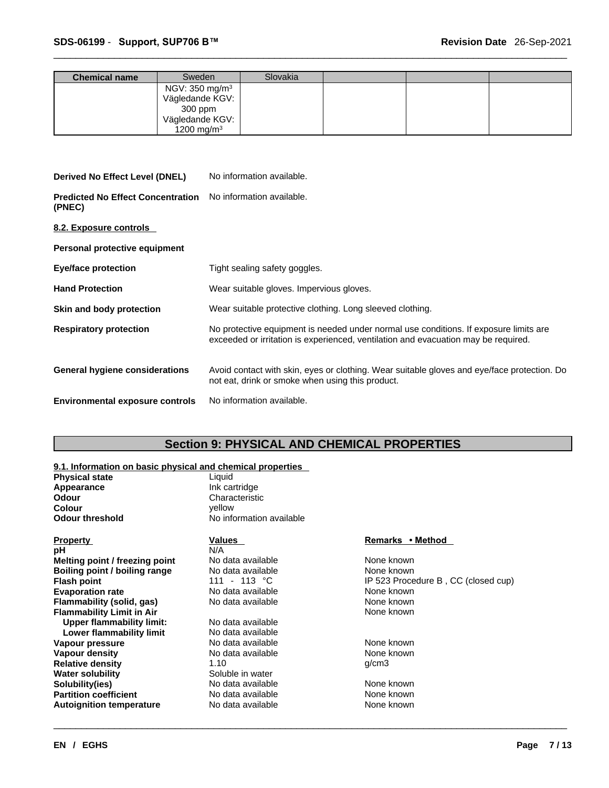| <b>Chemical name</b> | Sweden                     | Slovakia |  |  |
|----------------------|----------------------------|----------|--|--|
|                      | NGV: 350 mg/m <sup>3</sup> |          |  |  |
|                      | Vägledande KGV:            |          |  |  |
|                      | 300 ppm                    |          |  |  |
|                      | Vägledande KGV:            |          |  |  |
|                      | 1200 mg/m <sup>3</sup>     |          |  |  |

### **Derived No Effect Level (DNEL)** No information available.

**Predicted No Effect Concentration** No information available. **(PNEC)** 

**8.2. Exposure controls** 

**Personal protective equipment**

| <b>Eye/face protection</b>             | Tight sealing safety goggles.                                                                                                                                               |
|----------------------------------------|-----------------------------------------------------------------------------------------------------------------------------------------------------------------------------|
| <b>Hand Protection</b>                 | Wear suitable gloves. Impervious gloves.                                                                                                                                    |
| Skin and body protection               | Wear suitable protective clothing. Long sleeved clothing.                                                                                                                   |
| <b>Respiratory protection</b>          | No protective equipment is needed under normal use conditions. If exposure limits are<br>exceeded or irritation is experienced, ventilation and evacuation may be required. |
| General hygiene considerations         | Avoid contact with skin, eyes or clothing. Wear suitable gloves and eye/face protection. Do<br>not eat, drink or smoke when using this product.                             |
| <b>Environmental exposure controls</b> | No information available.                                                                                                                                                   |

## **Section 9: PHYSICAL AND CHEMICAL PROPERTIES**

#### **9.1. Information on basic physical and chemical properties**

| <b>Physical state</b>            | Liquid                   |                                     |
|----------------------------------|--------------------------|-------------------------------------|
| Appearance                       | Ink cartridge            |                                     |
| <b>Odour</b>                     | Characteristic           |                                     |
| <b>Colour</b>                    | yellow                   |                                     |
| <b>Odour threshold</b>           | No information available |                                     |
| <b>Property</b>                  | Values                   | Remarks • Method                    |
| рH                               | N/A                      |                                     |
| Melting point / freezing point   | No data available        | None known                          |
| Boiling point / boiling range    | No data available        | None known                          |
| <b>Flash point</b>               | 111 - 113 °C             | IP 523 Procedure B, CC (closed cup) |
| <b>Evaporation rate</b>          | No data available        | None known                          |
| <b>Flammability (solid, gas)</b> | No data available        | None known                          |
| <b>Flammability Limit in Air</b> |                          | None known                          |
| <b>Upper flammability limit:</b> | No data available        |                                     |
| Lower flammability limit         | No data available        |                                     |
| Vapour pressure                  | No data available        | None known                          |
| Vapour density                   | No data available        | None known                          |
| <b>Relative density</b>          | 1.10                     | q/cm3                               |
| <b>Water solubility</b>          | Soluble in water         |                                     |
| Solubility(ies)                  | No data available        | None known                          |
| <b>Partition coefficient</b>     | No data available        | None known                          |
| <b>Autoignition temperature</b>  | No data available        | None known                          |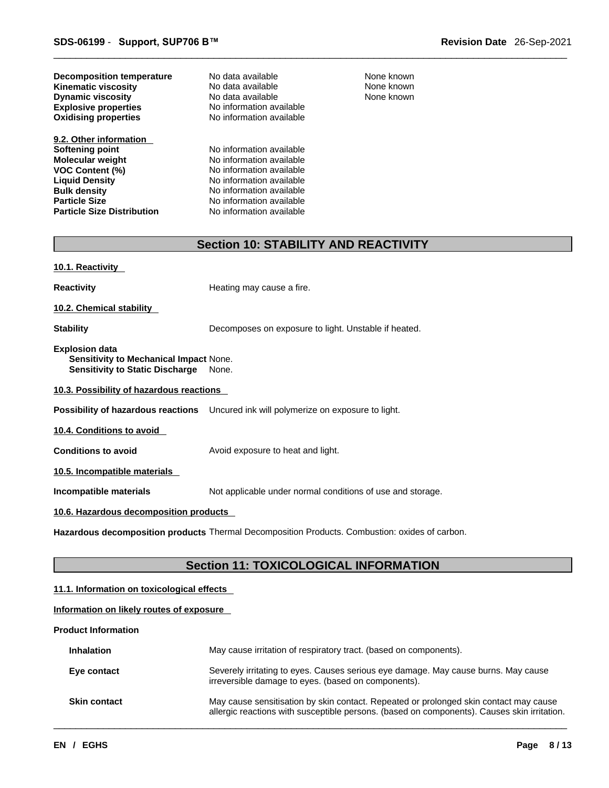| <b>Decomposition temperature</b> |  |
|----------------------------------|--|
| Kinematic viscosity              |  |
| <b>Dynamic viscosity</b>         |  |
| <b>Explosive properties</b>      |  |
| <b>Oxidising properties</b>      |  |

**9.2. Other information Softening point** No information available **Molecular weight** No information available **VOC Content (%)** No information available **Liquid Density**<br> **Bulk density**<br> **Bulk density**<br> **Bulk density Bulk density**<br> **Particle Size**<br> **Particle Size**<br> **No information available Particle Size Distribution** 

**Explosive properties** No information available **No information available No data available None known No data available None known Dynamic viscosity** No data available

**No information available**<br>**No information available** 

None known

## **Section 10: STABILITY AND REACTIVITY**

**10.1. Reactivity** 

**Reactivity Reactivity Reactivity Heating may cause a fire.** 

**10.2. Chemical stability** 

**Stability** Decomposes on exposure to light. Unstable if heated.

**Explosion data**

**Sensitivity to Mechanical Impact** None. **Sensitivity to Static Discharge** None.

**10.3. Possibility of hazardous reactions**

**Possibility of hazardous reactions** Uncured ink will polymerize on exposure to light.

**10.4. Conditions to avoid** 

**Conditions to avoid Avoid exposure to heat and light.** 

**10.5. Incompatible materials**

**Incompatible materials** Not applicable under normal conditions of use and storage.

**10.6. Hazardous decomposition products** 

**Hazardous decomposition products** Thermal Decomposition Products. Combustion: oxides of carbon.

## **Section 11: TOXICOLOGICAL INFORMATION**

#### **11.1. Information on toxicologicaleffects**

#### **Information on likely routes of exposure**

**Product Information**

| <b>Inhalation</b>   | May cause irritation of respiratory tract. (based on components).                                                                                                                    |
|---------------------|--------------------------------------------------------------------------------------------------------------------------------------------------------------------------------------|
| Eye contact         | Severely irritating to eyes. Causes serious eye damage. May cause burns. May cause<br>irreversible damage to eyes. (based on components).                                            |
| <b>Skin contact</b> | May cause sensitisation by skin contact. Repeated or prolonged skin contact may cause<br>allergic reactions with susceptible persons. (based on components). Causes skin irritation. |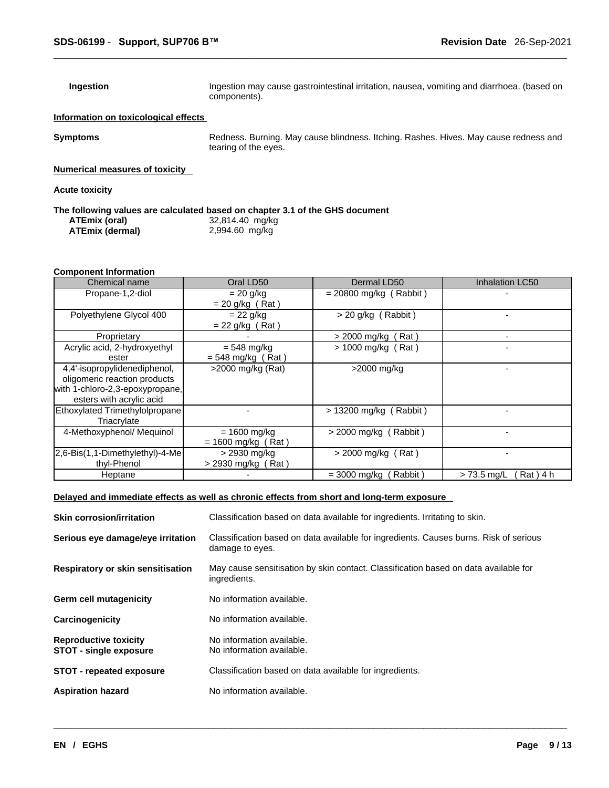**Ingestion Ingestion may cause gastrointestinal irritation**, nausea, vomiting and diarrhoea. (based on components).

#### **Information on toxicological effects**

**Symptoms** Redness. Burning. May cause blindness. Itching. Rashes. Hives. May cause redness and tearing of the eyes.

**Numerical measures of toxicity**

**Acute toxicity** 

#### **The following values are calculated based on chapter 3.1 of the GHS document**

| ATEmix (oral)   | 32,814.40 mg/kg |
|-----------------|-----------------|
| ATEmix (dermal) | 2,994.60 mg/kg  |

#### **Component Information**

| Chemical name                                                                                                               | Oral LD50                              | Dermal LD50              | Inhalation LC50            |
|-----------------------------------------------------------------------------------------------------------------------------|----------------------------------------|--------------------------|----------------------------|
| Propane-1,2-diol                                                                                                            | $= 20$ g/kg<br>$= 20$ g/kg (Rat)       | $= 20800$ mg/kg (Rabbit) |                            |
| Polyethylene Glycol 400                                                                                                     | $= 22$ g/kg<br>$= 22$ g/kg (Rat)       | $>$ 20 g/kg (Rabbit)     |                            |
| Proprietary                                                                                                                 |                                        | > 2000 mg/kg (Rat)       |                            |
| Acrylic acid, 2-hydroxyethyl<br>ester                                                                                       | $= 548$ mg/kg<br>$= 548$ mg/kg (Rat)   | $>$ 1000 mg/kg (Rat)     |                            |
| 4,4'-isopropylidenediphenol,<br>oligomeric reaction products<br>with 1-chloro-2,3-epoxypropane,<br>esters with acrylic acid | >2000 mg/kg (Rat)                      | >2000 mg/kg              |                            |
| Ethoxylated Trimethylolpropane<br>Triacrylate                                                                               |                                        | $> 13200$ mg/kg (Rabbit) |                            |
| 4-Methoxyphenol/ Mequinol                                                                                                   | $= 1600$ mg/kg<br>$= 1600$ mg/kg (Rat) | $>$ 2000 mg/kg (Rabbit)  |                            |
| 2,6-Bis(1,1-Dimethylethyl)-4-Me<br>thyl-Phenol                                                                              | > 2930 mg/kg<br>$>$ 2930 mg/kg (Rat)   | $>$ 2000 mg/kg (Rat)     |                            |
| Heptane                                                                                                                     |                                        | = 3000 mg/kg<br>Rabbit)  | Rat ) 4 h<br>$> 73.5$ mg/L |

#### **Delayed and immediate effects as well as chronic effects from short and long-term exposure**

| <b>Skin corrosion/irritation</b>                              | Classification based on data available for ingredients. Irritating to skin.                              |
|---------------------------------------------------------------|----------------------------------------------------------------------------------------------------------|
| Serious eye damage/eye irritation                             | Classification based on data available for ingredients. Causes burns. Risk of serious<br>damage to eyes. |
| <b>Respiratory or skin sensitisation</b>                      | May cause sensitisation by skin contact. Classification based on data available for<br>ingredients.      |
| Germ cell mutagenicity                                        | No information available.                                                                                |
| Carcinogenicity                                               | No information available.                                                                                |
| <b>Reproductive toxicity</b><br><b>STOT - single exposure</b> | No information available.<br>No information available.                                                   |
| <b>STOT - repeated exposure</b>                               | Classification based on data available for ingredients.                                                  |
| <b>Aspiration hazard</b>                                      | No information available.                                                                                |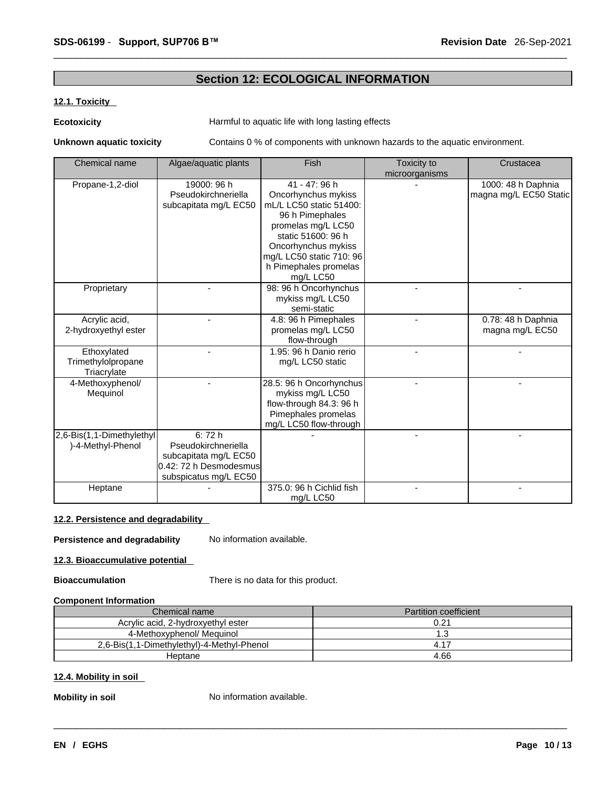## **Section 12: ECOLOGICAL INFORMATION**

#### **12.1. Toxicity**

### **Ecotoxicity Example 20 Harmful to aquatic life with long lasting effects**

**Unknown aquatic toxicity** Contains 0 % of components with unknown hazards to the aquatic environment.

| Chemical name                                    | Algae/aquatic plants                                                                                     | Fish                                                                                                                                                                                                                    | Toxicity to<br>microorganisms | Crustacea                                    |
|--------------------------------------------------|----------------------------------------------------------------------------------------------------------|-------------------------------------------------------------------------------------------------------------------------------------------------------------------------------------------------------------------------|-------------------------------|----------------------------------------------|
| Propane-1,2-diol                                 | 19000: 96 h<br>Pseudokirchneriella<br>subcapitata mg/L EC50                                              | 41 - 47: 96 h<br>Oncorhynchus mykiss<br>mL/L LC50 static 51400:<br>96 h Pimephales<br>promelas mg/L LC50<br>static 51600: 96 h<br>Oncorhynchus mykiss<br>mg/L LC50 static 710: 96<br>h Pimephales promelas<br>mg/L LC50 |                               | 1000: 48 h Daphnia<br>magna mg/L EC50 Static |
| Proprietary                                      |                                                                                                          | 98: 96 h Oncorhynchus<br>mykiss mg/L LC50<br>semi-static                                                                                                                                                                |                               |                                              |
| Acrylic acid,<br>2-hydroxyethyl ester            |                                                                                                          | 4.8: 96 h Pimephales<br>promelas mg/L LC50<br>flow-through                                                                                                                                                              |                               | 0.78: 48 h Daphnia<br>magna mg/L EC50        |
| Ethoxylated<br>Trimethylolpropane<br>Triacrylate |                                                                                                          | 1.95: 96 h Danio rerio<br>mg/L LC50 static                                                                                                                                                                              |                               |                                              |
| 4-Methoxyphenol/<br>Mequinol                     |                                                                                                          | 28.5: 96 h Oncorhynchus<br>mykiss mg/L LC50<br>flow-through 84.3: 96 h<br>Pimephales promelas<br>mg/L LC50 flow-through                                                                                                 |                               |                                              |
| 2,6-Bis(1,1-Dimethylethyl<br>)-4-Methyl-Phenol   | 6:72h<br>Pseudokirchneriella<br>subcapitata mg/L EC50<br>0.42: 72 h Desmodesmus<br>subspicatus mg/L EC50 |                                                                                                                                                                                                                         |                               |                                              |
| Heptane                                          |                                                                                                          | 375.0: 96 h Cichlid fish<br>mg/L LC50                                                                                                                                                                                   |                               |                                              |

#### **12.2. Persistence and degradability**

**Persistence and degradability** No information available.

**12.3. Bioaccumulative potential**

**Bioaccumulation** There is no data for this product.

#### **Component Information**

| Chemical name                              | <b>Partition coefficient</b> |
|--------------------------------------------|------------------------------|
| Acrylic acid, 2-hydroxyethyl ester         | 0.21                         |
| 4-Methoxyphenol/ Mequinol                  | l .3                         |
| 2,6-Bis(1,1-Dimethylethyl)-4-Methyl-Phenol |                              |
| Heptane                                    | 4.66                         |

 $\_$  ,  $\_$  ,  $\_$  ,  $\_$  ,  $\_$  ,  $\_$  ,  $\_$  ,  $\_$  ,  $\_$  ,  $\_$  ,  $\_$  ,  $\_$  ,  $\_$  ,  $\_$  ,  $\_$  ,  $\_$  ,  $\_$  ,  $\_$  ,  $\_$  ,  $\_$  ,  $\_$  ,  $\_$  ,  $\_$  ,  $\_$  ,  $\_$  ,  $\_$  ,  $\_$  ,  $\_$  ,  $\_$  ,  $\_$  ,  $\_$  ,  $\_$  ,  $\_$  ,  $\_$  ,  $\_$  ,  $\_$  ,  $\_$  ,

## **12.4. Mobility in soil**

**Mobility in soil** No information available.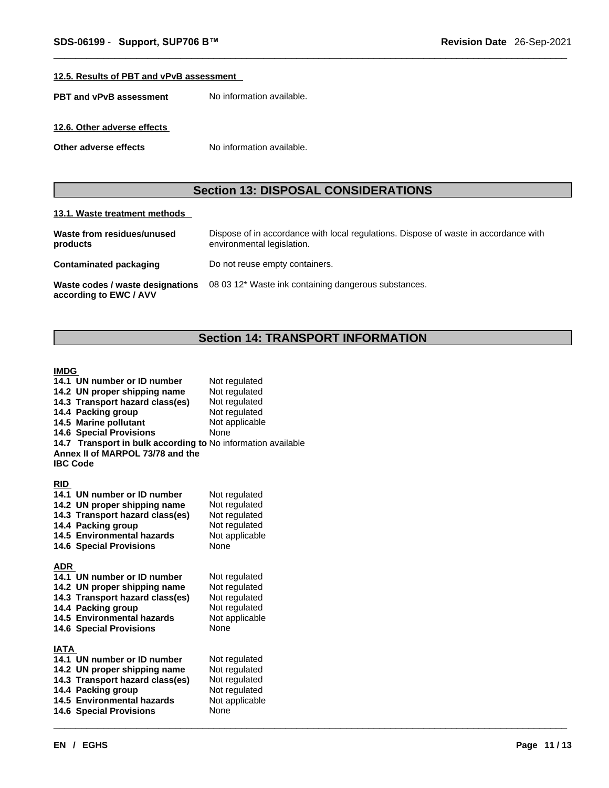#### **12.5. Results of PBT and vPvB assessment**

**PBT** and **vPvB** assessment No information available.

#### **12.6. Other adverse effects**

**Other adverse effects** No information available.

## **Section 13: DISPOSAL CONSIDERATIONS**

#### **13.1. Waste treatment methods**

| Waste from residues/unused<br>products                     | Dispose of in accordance with local regulations. Dispose of waste in accordance with<br>environmental legislation. |
|------------------------------------------------------------|--------------------------------------------------------------------------------------------------------------------|
| Contaminated packaging                                     | Do not reuse empty containers.                                                                                     |
| Waste codes / waste designations<br>according to EWC / AVV | 08 03 12* Waste ink containing dangerous substances.                                                               |

## **Section 14: TRANSPORT INFORMATION**

 $\_$  ,  $\_$  ,  $\_$  ,  $\_$  ,  $\_$  ,  $\_$  ,  $\_$  ,  $\_$  ,  $\_$  ,  $\_$  ,  $\_$  ,  $\_$  ,  $\_$  ,  $\_$  ,  $\_$  ,  $\_$  ,  $\_$  ,  $\_$  ,  $\_$  ,  $\_$  ,  $\_$  ,  $\_$  ,  $\_$  ,  $\_$  ,  $\_$  ,  $\_$  ,  $\_$  ,  $\_$  ,  $\_$  ,  $\_$  ,  $\_$  ,  $\_$  ,  $\_$  ,  $\_$  ,  $\_$  ,  $\_$  ,  $\_$  ,

#### **IMDG**

|                 | 14.1 UN number or ID number<br>14.2 UN proper shipping name<br>14.3 Transport hazard class(es)<br>14.4 Packing group<br>14.5 Marine pollutant<br><b>14.6 Special Provisions</b><br>14.7 Transport in bulk according to No information available | Not regulated<br>Not regulated<br>Not regulated<br>Not regulated<br>Not applicable<br>None |
|-----------------|-------------------------------------------------------------------------------------------------------------------------------------------------------------------------------------------------------------------------------------------------|--------------------------------------------------------------------------------------------|
| <b>IBC Code</b> | Annex II of MARPOL 73/78 and the                                                                                                                                                                                                                |                                                                                            |
| <b>RID</b>      | 14.1 UN number or ID number<br>14.2 UN proper shipping name<br>14.3 Transport hazard class(es)<br>14.4 Packing group<br>14.5 Environmental hazards<br><b>14.6 Special Provisions</b>                                                            | Not regulated<br>Not regulated<br>Not regulated<br>Not regulated<br>Not applicable<br>None |
| <b>ADR</b>      | 14.1 UN number or ID number<br>14.2 UN proper shipping name<br>14.3 Transport hazard class(es)<br>14.4 Packing group<br>14.5 Environmental hazards<br><b>14.6 Special Provisions</b>                                                            | Not regulated<br>Not regulated<br>Not regulated<br>Not regulated<br>Not applicable<br>None |
| IATA            | 14.1 UN number or ID number<br>14.2 UN proper shipping name<br>14.3 Transport hazard class(es)<br>14.4 Packing group<br>14.5 Environmental hazards<br><b>14.6 Special Provisions</b>                                                            | Not regulated<br>Not regulated<br>Not regulated<br>Not regulated<br>Not applicable<br>None |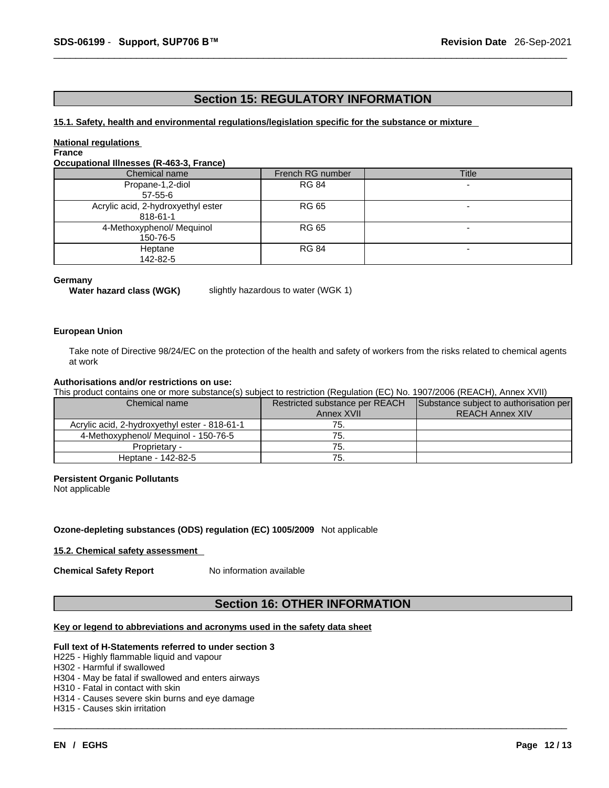## **Section 15: REGULATORY INFORMATION**

#### **15.1. Safety, health and environmental regulations/legislation specific for the substance or mixture**

#### **National regulations**

### **France**

#### **Occupational Illnesses (R-463-3, France)**

| Chemical name                                  | French RG number | Title |
|------------------------------------------------|------------------|-------|
| Propane-1,2-diol                               | <b>RG 84</b>     | -     |
| $57 - 55 - 6$                                  |                  |       |
| Acrylic acid, 2-hydroxyethyl ester<br>818-61-1 | RG 65            | -     |
| 4-Methoxyphenol/ Mequinol<br>150-76-5          | RG 65            | -     |
| Heptane<br>142-82-5                            | <b>RG 84</b>     | -     |

#### **Germany**

**Water hazard class (WGK)** slightly hazardous to water (WGK 1)

#### **European Union**

Take note of Directive 98/24/EC on the protection of the health and safety of workers from the risks related to chemical agents at work

#### **Authorisations and/or restrictions on use:**

This product contains one or more substance(s) subject to restriction (Regulation (EC) No. 1907/2006 (REACH), Annex XVII)

| Chemical name                                 | Restricted substance per REACH | Substance subject to authorisation per |  |
|-----------------------------------------------|--------------------------------|----------------------------------------|--|
|                                               | Annex XVII                     | <b>REACH Annex XIV</b>                 |  |
| Acrylic acid, 2-hydroxyethyl ester - 818-61-1 | 75.                            |                                        |  |
| 4-Methoxyphenol/ Mequinol - 150-76-5          | 75.                            |                                        |  |
| Proprietary -                                 | 75.                            |                                        |  |
| Heptane - 142-82-5                            | 75.                            |                                        |  |

#### **Persistent Organic Pollutants**

Not applicable

#### **Ozone-depleting substances (ODS) regulation (EC) 1005/2009** Not applicable

#### **15.2. Chemical safety assessment**

**Chemical Safety Report** No information available

## **Section 16: OTHER INFORMATION**

 $\_$  ,  $\_$  ,  $\_$  ,  $\_$  ,  $\_$  ,  $\_$  ,  $\_$  ,  $\_$  ,  $\_$  ,  $\_$  ,  $\_$  ,  $\_$  ,  $\_$  ,  $\_$  ,  $\_$  ,  $\_$  ,  $\_$  ,  $\_$  ,  $\_$  ,  $\_$  ,  $\_$  ,  $\_$  ,  $\_$  ,  $\_$  ,  $\_$  ,  $\_$  ,  $\_$  ,  $\_$  ,  $\_$  ,  $\_$  ,  $\_$  ,  $\_$  ,  $\_$  ,  $\_$  ,  $\_$  ,  $\_$  ,  $\_$  ,

#### **Key or legend to abbreviations and acronyms used in the safety data sheet**

#### **Full text of H-Statements referred to undersection 3**

#### H225 - Highly flammable liquid and vapour

- H302 Harmful if swallowed
- H304 May be fatal if swallowed and enters airways
- H310 Fatal in contact with skin
- H314 Causes severe skin burns and eye damage
- H315 Causes skin irritation